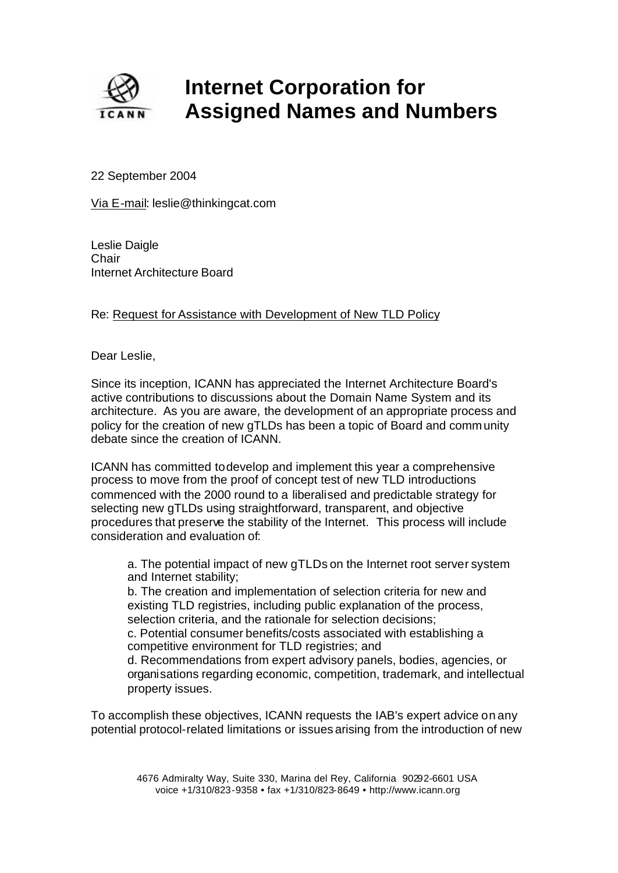

## **Internet Corporation for Assigned Names and Numbers**

22 September 2004

Via E-mail: leslie@thinkingcat.com

Leslie Daigle **Chair** Internet Architecture Board

## Re: Request for Assistance with Development of New TLD Policy

Dear Leslie,

Since its inception, ICANN has appreciated the Internet Architecture Board's active contributions to discussions about the Domain Name System and its architecture. As you are aware, the development of an appropriate process and policy for the creation of new gTLDs has been a topic of Board and community debate since the creation of ICANN.

ICANN has committed to develop and implement this year a comprehensive process to move from the proof of concept test of new TLD introductions commenced with the 2000 round to a liberalised and predictable strategy for selecting new gTLDs using straightforward, transparent, and objective procedures that preserve the stability of the Internet. This process will include consideration and evaluation of:

a. The potential impact of new gTLDs on the Internet root server system and Internet stability;

b. The creation and implementation of selection criteria for new and existing TLD registries, including public explanation of the process, selection criteria, and the rationale for selection decisions; c. Potential consumer benefits/costs associated with establishing a competitive environment for TLD registries; and

d. Recommendations from expert advisory panels, bodies, agencies, or organisations regarding economic, competition, trademark, and intellectual property issues.

To accomplish these objectives, ICANN requests the IAB's expert advice on any potential protocol-related limitations or issues arising from the introduction of new

> 4676 Admiralty Way, Suite 330, Marina del Rey, California 90292-6601 USA voice +1/310/823-9358 • fax +1/310/823-8649 • http://www.icann.org